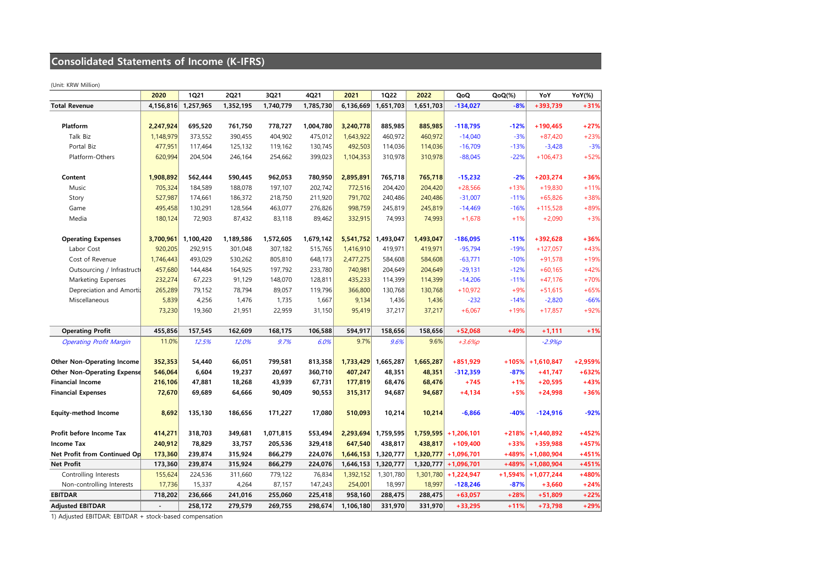## **Consolidated Statements of Income (K-IFRS)**

(Unit: KRW Million)

|                                    | 2020      | <b>1Q21</b> | <b>2Q21</b> | 3Q21      | 4Q21      | 2021      | <b>1Q22</b> | 2022      | QoQ                     | $QoQ(\%)$ | YoY                  | <b>YoY(%)</b> |
|------------------------------------|-----------|-------------|-------------|-----------|-----------|-----------|-------------|-----------|-------------------------|-----------|----------------------|---------------|
| <b>Total Revenue</b>               | 4,156,816 | 1,257,965   | 1,352,195   | 1,740,779 | 1,785,730 | 6,136,669 | 1,651,703   | 1,651,703 | $-134,027$              | $-8%$     | $+393,739$           | $+31%$        |
|                                    |           |             |             |           |           |           |             |           |                         |           |                      |               |
| Platform                           | 2,247,924 | 695,520     | 761,750     | 778,727   | 1,004,780 | 3,240,778 | 885,985     | 885,985   | $-118,795$              | $-12%$    | $+190,465$           | $+27%$        |
| Talk Biz                           | 1,148,979 | 373,552     | 390,455     | 404,902   | 475,012   | 1,643,922 | 460,972     | 460,972   | $-14,040$               | $-3%$     | $+87,420$            | $+23%$        |
| Portal Biz                         | 477,951   | 117,464     | 125,132     | 119,162   | 130,745   | 492,503   | 114,036     | 114,036   | $-16,709$               | $-13%$    | $-3,428$             | $-3%$         |
| Platform-Others                    | 620,994   | 204,504     | 246,164     | 254,662   | 399,023   | 1,104,353 | 310,978     | 310,978   | $-88,045$               | $-22%$    | $+106,473$           | $+52%$        |
|                                    |           |             |             |           |           |           |             |           |                         |           |                      |               |
| Content                            | 1,908,892 | 562,444     | 590,445     | 962,053   | 780,950   | 2,895,891 | 765,718     | 765,718   | $-15,232$               | $-2%$     | $+203,274$           | $+36%$        |
| Music                              | 705,324   | 184,589     | 188,078     | 197,107   | 202,742   | 772,516   | 204,420     | 204,420   | $+28,566$               | $+13%$    | $+19,830$            | $+11%$        |
| Story                              | 527,987   | 174,661     | 186,372     | 218,750   | 211,920   | 791,702   | 240,486     | 240,486   | $-31,007$               | $-11%$    | $+65,826$            | $+38%$        |
| Game                               | 495,458   | 130,291     | 128,564     | 463,077   | 276,826   | 998,759   | 245,819     | 245,819   | $-14,469$               | $-16%$    | $+115,528$           | $+89%$        |
| Media                              | 180,124   | 72,903      | 87,432      | 83,118    | 89,462    | 332,915   | 74,993      | 74,993    | $+1,678$                | $+1%$     | $+2,090$             | $+3%$         |
|                                    |           |             |             |           |           |           |             |           |                         |           |                      |               |
| <b>Operating Expenses</b>          | 3,700,961 | 1,100,420   | 1,189,586   | 1,572,605 | 1,679,142 | 5,541,752 | 1,493,047   | 1,493,047 | $-186,095$              | $-11%$    | $+392,628$           | $+36%$        |
| Labor Cost                         | 920,205   | 292,915     | 301,048     | 307,182   | 515,765   | 1,416,910 | 419,971     | 419,971   | $-95,794$               | $-19%$    | $+127,057$           | $+43%$        |
| Cost of Revenue                    | 1,746,443 | 493,029     | 530,262     | 805,810   | 648,173   | 2,477,275 | 584,608     | 584,608   | $-63,771$               | $-10%$    | $+91,578$            | $+19%$        |
| Outsourcing / Infrastruct          | 457,680   | 144,484     | 164,925     | 197,792   | 233,780   | 740,981   | 204,649     | 204,649   | $-29,131$               | $-12%$    | $+60,165$            | $+42%$        |
| Marketing Expenses                 | 232,274   | 67,223      | 91,129      | 148,070   | 128,811   | 435,233   | 114,399     | 114,399   | $-14,206$               | $-11%$    | $+47,176$            | $+70%$        |
| Depreciation and Amorti            | 265,289   | 79,152      | 78,794      | 89,057    | 119,796   | 366,800   | 130,768     | 130,768   | $+10,972$               | $+9%$     | $+51,615$            | $+65%$        |
| Miscellaneous                      | 5,839     | 4,256       | 1,476       | 1,735     | 1,667     | 9,134     | 1,436       | 1,436     | $-232$                  | $-14%$    | $-2,820$             | $-66%$        |
|                                    | 73,230    | 19,360      | 21,951      | 22,959    | 31,150    | 95,419    | 37,217      | 37,217    | $+6,067$                | $+19%$    | $+17,857$            | $+92%$        |
|                                    |           |             |             |           |           |           |             |           |                         |           |                      |               |
| <b>Operating Profit</b>            | 455,856   | 157,545     | 162,609     | 168,175   | 106,588   | 594,917   | 158,656     | 158,656   | $+52,068$               | $+49%$    | $+1,111$             | $+1%$         |
| <b>Operating Profit Margin</b>     | 11.0%     | 12.5%       | 12.0%       | 9.7%      | 6.0%      | 9.7%      | 9.6%        | 9.6%      | $+3.6%p$                |           | $-2.9%$ p            |               |
|                                    |           |             |             |           |           |           |             |           |                         |           |                      |               |
| <b>Other Non-Operating Income</b>  | 352,353   | 54,440      | 66,051      | 799,581   | 813,358   | 1,733,429 | 1,665,287   | 1,665,287 | $+851,929$              |           | $+105\%$ + 1,610,847 | $+2,959%$     |
| <b>Other Non-Operating Expense</b> | 546,064   | 6,604       | 19,237      | 20,697    | 360,710   | 407,247   | 48,351      | 48,351    | $-312,359$              | $-87%$    | $+41,747$            | $+632%$       |
| <b>Financial Income</b>            | 216,106   | 47,881      | 18,268      | 43,939    | 67,731    | 177,819   | 68,476      | 68,476    | $+745$                  | $+1%$     | $+20,595$            | $+43%$        |
| <b>Financial Expenses</b>          | 72,670    | 69,689      | 64,666      | 90,409    | 90,553    | 315,317   | 94,687      | 94,687    | $+4,134$                | $+5%$     | $+24,998$            | $+36%$        |
|                                    |           |             |             |           |           |           |             |           |                         |           |                      |               |
| <b>Equity-method Income</b>        | 8,692     | 135,130     | 186,656     | 171,227   | 17,080    | 510,093   | 10,214      | 10,214    | $-6,866$                | $-40%$    | $-124,916$           | $-92%$        |
| Profit before Income Tax           | 414,271   | 318,703     | 349,681     | 1,071,815 | 553,494   | 2,293,694 | 1,759,595   |           | $1,759,595$ + 1,206,101 |           | $+218\%$ + 1,440,892 | $+452%$       |
| <b>Income Tax</b>                  | 240,912   | 78,829      | 33,757      | 205,536   | 329,418   | 647,540   | 438,817     | 438,817   | $+109,400$              | $+33%$    | $+359,988$           | $+457%$       |
| Net Profit from Continued Op       | 173,360   | 239,874     | 315,924     | 866,279   | 224,076   | 1,646,153 | 1,320,777   |           | $1,320,777$ + 1,096,701 | $+489%$   | $+1,080,904$         | $+451%$       |
| <b>Net Profit</b>                  | 173,360   | 239,874     | 315,924     | 866,279   | 224,076   | 1,646,153 | 1,320,777   |           | $1,320,777$ + 1,096,701 | $+489%$   | $+1,080,904$         | $+451%$       |
| Controlling Interests              | 155,624   | 224,536     | 311,660     | 779,122   | 76,834    | 1,392,152 | 1,301,780   |           | $1,301,780$ + 1,224,947 | $+1,594%$ | $+1,077,244$         | $+480%$       |
| Non-controlling Interests          | 17,736    | 15,337      | 4,264       | 87,157    | 147,243   | 254,001   | 18,997      | 18,997    | $-128,246$              | $-87%$    | $+3,660$             | $+24%$        |
| <b>EBITDAR</b>                     | 718,202   | 236,666     | 241,016     | 255,060   | 225,418   | 958,160   | 288,475     | 288,475   | $+63,057$               | $+28%$    | $+51,809$            | $+22%$        |
| <b>Adjusted EBITDAR</b>            |           | 258,172     | 279,579     | 269,755   | 298,674   | 1,106,180 | 331,970     | 331,970   | $+33,295$               | $+11%$    | $+73,798$            | $+29%$        |

1) Adjusted EBITDAR: EBITDAR + stock-based compensation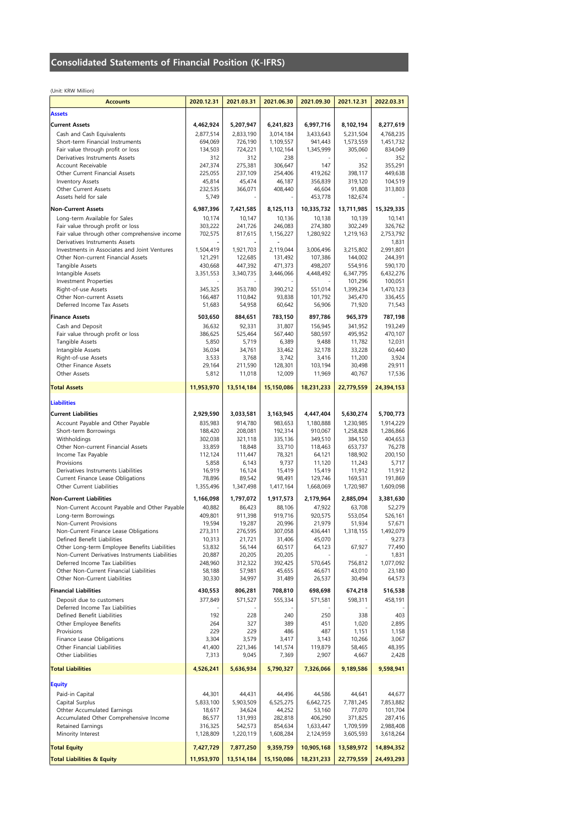## **Consolidated Statements of Financial Position (K-IFRS)**

(Unit: KRW Million)

| <b>Accounts</b>                                                                    | 2020.12.31         | 2021.03.31         | 2021.06.30         | 2021.09.30         | 2021.12.31         | 2022.03.31         |
|------------------------------------------------------------------------------------|--------------------|--------------------|--------------------|--------------------|--------------------|--------------------|
| <b>Assets</b>                                                                      |                    |                    |                    |                    |                    |                    |
| <b>Current Assets</b>                                                              | 4,462,924          | 5,207,947          | 6,241,823          | 6,997,716          | 8,102,194          | 8,277,619          |
| Cash and Cash Equivalents                                                          | 2,877,514          | 2,833,190          | 3,014,184          | 3,433,643          | 5,231,504          | 4,768,235          |
| Short-term Financial Instruments                                                   | 694,069            | 726,190            | 1,109,557          | 941,443            | 1,573,559          | 1,451,732          |
| Fair value through profit or loss                                                  | 134,503            | 724,221            | 1,102,164          | 1,345,999          | 305,060            | 834,049            |
| Derivatives Instruments Assets                                                     | 312                | 312                | 238                |                    |                    | 352                |
| Account Receivable                                                                 | 247,374            | 275,381            | 306,647            | 147                | 352                | 355,291            |
| Other Current Financial Assets<br>Inventory Assets                                 | 225,055<br>45,814  | 237,109<br>45,474  | 254,406<br>46,187  | 419,262<br>356,839 | 398,117<br>319,120 | 449,638<br>104,519 |
| Other Current Assets                                                               | 232,535            | 366,071            | 408,440            | 46,604             | 91,808             | 313,803            |
| Assets held for sale                                                               | 5,749              |                    |                    | 453,778            | 182,674            |                    |
| <b>Non-Current Assets</b>                                                          | 6,987,396          | 7,421,585          | 8,125,113          | 10,335,732         | 13,711,985         | 15,329,335         |
| Long-term Available for Sales                                                      | 10,174             | 10,147             | 10,136             | 10,138             | 10,139             | 10,141             |
| Fair value through profit or loss                                                  | 303,222            | 241,726            | 246,083            | 274,380            | 302,249            | 326,762            |
| Fair value through other comprehensive income                                      | 702,575            | 817,615            | 1,156,227          | 1,280,922          | 1,219,163          | 2,753,792          |
| Derivatives Instruments Assets                                                     |                    |                    |                    |                    |                    | 1,831              |
| Investments in Associates and Joint Ventures                                       | 1,504,419          | 1,921,703          | 2,119,044          | 3,006,496          | 3,215,802          | 2,991,801          |
| Other Non-current Financial Assets<br>Tangible Assets                              | 121,291<br>430,668 | 122,685<br>447,392 | 131,492<br>471,373 | 107,386<br>498,207 | 144,002<br>554,916 | 244,391<br>590,170 |
| Intangible Assets                                                                  | 3,351,553          | 3,340,735          | 3,446,066          | 4,448,492          | 6,347,795          | 6,432,276          |
| Investment Properties                                                              |                    |                    |                    |                    | 101,296            | 100,051            |
| Right-of-use Assets                                                                | 345,325            | 353,780            | 390,212            | 551,014            | 1,399,234          | 1,470,123          |
| Other Non-current Assets                                                           | 166,487            | 110,842            | 93,838             | 101,792            | 345,470            | 336,455            |
| Deferred Income Tax Assets                                                         | 51,683             | 54,958             | 60,642             | 56,906             | 71,920             | 71,543             |
| <b>Finance Assets</b>                                                              | 503,650            | 884,651            | 783,150            | 897,786            | 965,379            | 787,198            |
| Cash and Deposit                                                                   | 36,632             | 92,331             | 31,807             | 156,945            | 341,952            | 193,249            |
| Fair value through profit or loss                                                  | 386,625            | 525,464            | 567,440            | 580,597            | 495,952            | 470,107            |
| Tangible Assets                                                                    | 5,850<br>36,034    | 5,719              | 6,389<br>33,462    | 9,488<br>32,178    | 11,782<br>33,228   | 12,031             |
| Intangible Assets<br>Right-of-use Assets                                           | 3,533              | 34,761<br>3,768    | 3,742              | 3,416              | 11,200             | 60,440<br>3,924    |
| Other Finance Assets                                                               | 29,164             | 211,590            | 128,301            | 103,194            | 30,498             | 29,911             |
| Other Assets                                                                       | 5,812              | 11,018             | 12,009             | 11,969             | 40,767             | 17,536             |
| <b>Total Assets</b>                                                                | 11,953,970         |                    | 15,150,086         | 18,231,233         | 22,779,559         |                    |
|                                                                                    |                    | 13,514,184         |                    |                    |                    | 24,394,153         |
| <b>Liabilities</b>                                                                 |                    |                    |                    |                    |                    |                    |
| <b>Current Liabilities</b>                                                         | 2,929,590          | 3,033,581          | 3,163,945          | 4,447,404          | 5,630,274          | 5,700,773          |
| Account Payable and Other Payable                                                  | 835,983            | 914,780            | 983,653            | 1,180,888          | 1,230,985          | 1,914,229          |
| Short-term Borrowings                                                              | 188,420            | 208,081            | 192,314            | 910,067            | 1,258,828          | 1,286,866          |
| Withholdings                                                                       | 302,038            | 321,118            | 335,136            | 349,510            | 384,150            | 404,653            |
| Other Non-current Financial Assets                                                 | 33,859             | 18,848             | 33,710             | 118,463            | 653,737            | 76,278             |
| Income Tax Payable                                                                 | 112,124            | 111,447            | 78,321             | 64,121             | 188,902            | 200,150            |
| Provisions<br>Derivatives Instruments Liabilities                                  | 5,858<br>16,919    | 6,143<br>16,124    | 9,737<br>15,419    | 11,120<br>15,419   | 11,243<br>11,912   | 5,717<br>11,912    |
| Current Finance Lease Obligations                                                  | 78,896             | 89,542             | 98,491             | 129,746            | 169,531            | 191,869            |
| Other Current Liabilities                                                          | 1,355,496          | 1,347,498          | 1,417,164          | 1,668,069          | 1,720,987          | 1,609,098          |
| <b>Non-Current Liabilities</b>                                                     | 1,166,098          | 1,797,072          | 1,917,573          | 2,179,964          | 2,885,094          | 3,381,630          |
| Non-Current Account Payable and Other Payable                                      | 40,882             | 86,423             | 88,106             | 47,922             | 63,708             | 52,279             |
| Long-term Borrowings                                                               | 409,801            | 911,398            | 919,716            | 920,575            | 553,054            | 526,161            |
| Non-Current Provisions                                                             | 19,594             | 19,287             | 20,996             | 21,979             | 51,934             | 57,671             |
| Non-Current Finance Lease Obligations                                              | 273,311            | 276,595            | 307,058            | 436,441            | 1,318,155          | 1,492,079          |
| Defined Benefit Liabilities                                                        | 10,313             | 21,721             | 31,406             | 45,070             |                    | 9,273              |
| Other Long-term Employee Benefits Liabilities                                      | 53,832             | 56,144             | 60,517             | 64,123             | 67,927             | 77,490             |
| Non-Current Derivatives Instruments Liabilities<br>Deferred Income Tax Liabilities | 20,887<br>248,960  | 20,205<br>312,322  | 20,205<br>392,425  | 570,645            | 756,812            | 1,831<br>1,077,092 |
| Other Non-Current Financial Liabilities                                            | 58,188             | 57,981             | 45,655             | 46,671             | 43,010             | 23,180             |
| Other Non-Current Liabilities                                                      | 30,330             | 34,997             | 31,489             | 26,537             | 30,494             | 64,573             |
| <b>Financial Liabilities</b>                                                       | 430,553            | 806,281            | 708,810            | 698,698            | 674,218            | 516,538            |
| Deposit due to customers                                                           | 377,849            | 571,527            | 555,334            | 571,581            | 598,311            | 458,191            |
| Deferred Income Tax Liabilities                                                    |                    |                    |                    |                    |                    |                    |
| Defined Benefit Liabilities                                                        | 192                | 228                | 240                | 250                | 338                | 403                |
| Other Employee Benefits                                                            | 264                | 327                | 389                | 451                | 1,020              | 2,895              |
| Provisions                                                                         | 229                | 229                | 486                | 487                | 1,151              | 1,158              |
| Finance Lease Obligations                                                          | 3,304              | 3,579              | 3,417              | 3,143              | 10,266             | 3,067              |
| Other Financial Liabilities<br>Other Liabilities                                   | 41,400<br>7,313    | 221,346<br>9,045   | 141,574<br>7,369   | 119,879<br>2,907   | 58,465<br>4,667    | 48,395<br>2,428    |
|                                                                                    |                    |                    |                    |                    |                    |                    |
| <b>Total Liabilities</b>                                                           | 4,526,241          | 5,636,934          | 5,790,327          | 7,326,066          | 9,189,586          | 9,598,941          |
| <b>Equity</b>                                                                      |                    |                    |                    |                    |                    |                    |
| Paid-in Capital                                                                    | 44,301             | 44,431             | 44,496             | 44,586             | 44,641             | 44,677             |
| Capital Surplus                                                                    | 5,833,100          | 5,903,509          | 6,525,275          | 6,642,725          | 7,781,245          | 7,853,882          |
| Othter Accumulated Earnings                                                        | 18,617             | 34,624             | 44,252             | 53,160             | 77,070             | 101,704            |
| Accumulated Other Comprehensive Income                                             | 86,577             | 131,993            | 282,818            | 406,290            | 371,825            | 287,416            |
| Retained Earnings                                                                  | 316,325            | 542,573            | 854,634            | 1,633,447          | 1,709,599          | 2,988,408          |
| Minority Interest                                                                  | 1,128,809          | 1,220,119          | 1,608,284          | 2,124,959          | 3,605,593          | 3,618,264          |
| <b>Total Equity</b>                                                                | 7,427,729          | 7,877,250          | 9,359,759          | 10,905,168         | 13,589,972         | 14,894,352         |
| <b>Total Liabilities &amp; Equity</b>                                              | 11,953,970         | 13,514,184         | 15,150,086         | 18,231,233         | 22,779,559         | 24,493,293         |
|                                                                                    |                    |                    |                    |                    |                    |                    |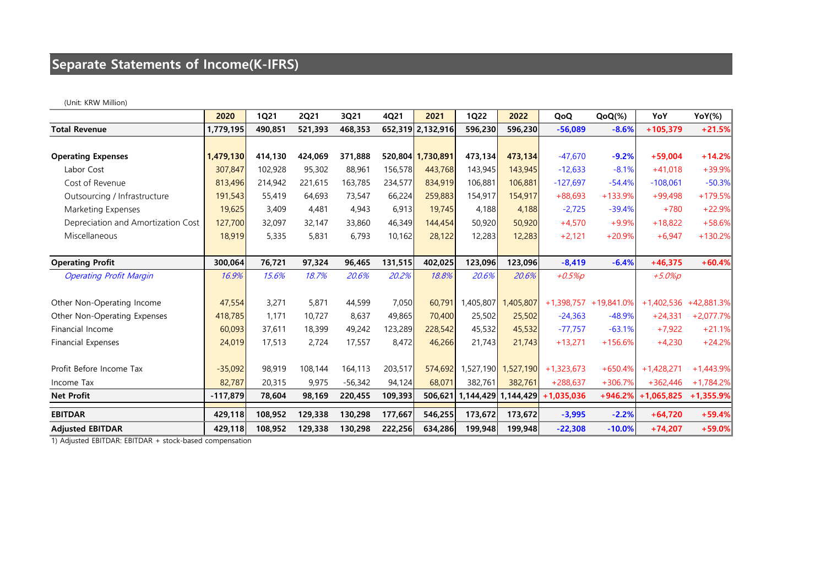# **Separate Statements of Income(K-IFRS)**

(Unit: KRW Million)

|                                    | 2020       | <b>1Q21</b> | <b>2Q21</b> | 3Q21      | 4Q21    | 2021              | <b>1Q22</b> | 2022                | QoQ          | $QoQ(\%)$             | YoY          | <b>YoY(%)</b> |
|------------------------------------|------------|-------------|-------------|-----------|---------|-------------------|-------------|---------------------|--------------|-----------------------|--------------|---------------|
| <b>Total Revenue</b>               | 1,779,195  | 490,851     | 521,393     | 468,353   |         | 652,319 2,132,916 | 596,230     | 596,230             | $-56,089$    | $-8.6%$               | $+105,379$   | $+21.5%$      |
|                                    |            |             |             |           |         |                   |             |                     |              |                       |              |               |
| <b>Operating Expenses</b>          | 1,479,130  | 414,130     | 424,069     | 371,888   |         | 520,804 1,730,891 | 473,134     | 473,134             | $-47,670$    | $-9.2%$               | $+59,004$    | $+14.2%$      |
| Labor Cost                         | 307,847    | 102,928     | 95,302      | 88,961    | 156,578 | 443,768           | 143,945     | 143,945             | $-12,633$    | $-8.1%$               | $+41,018$    | +39.9%        |
| Cost of Revenue                    | 813,496    | 214,942     | 221,615     | 163,785   | 234,577 | 834,919           | 106,881     | 106,881             | $-127,697$   | $-54.4%$              | $-108,061$   | $-50.3%$      |
| Outsourcing / Infrastructure       | 191,543    | 55,419      | 64,693      | 73,547    | 66,224  | 259,883           | 154,917     | 154,917             | $+88,693$    | $+133.9%$             | $+99,498$    | $+179.5%$     |
| Marketing Expenses                 | 19,625     | 3,409       | 4,481       | 4,943     | 6,913   | 19,745            | 4,188       | 4,188               | $-2,725$     | $-39.4%$              | $+780$       | $+22.9%$      |
| Depreciation and Amortization Cost | 127,700    | 32,097      | 32,147      | 33,860    | 46,349  | 144,454           | 50,920      | 50,920              | $+4,570$     | $+9.9%$               | $+18,822$    | $+58.6%$      |
| Miscellaneous                      | 18,919     | 5,335       | 5,831       | 6,793     | 10,162  | 28,122            | 12,283      | 12,283              | $+2,121$     | $+20.9%$              | $+6,947$     | $+130.2%$     |
|                                    |            |             |             |           |         |                   |             |                     |              |                       |              |               |
| <b>Operating Profit</b>            | 300,064    | 76,721      | 97,324      | 96,465    | 131,515 | 402,025           | 123,096     | 123,096             | $-8,419$     | $-6.4%$               | $+46,375$    | $+60.4%$      |
| <b>Operating Profit Margin</b>     | 16.9%      | 15.6%       | 18.7%       | 20.6%     | 20.2%   | 18.8%             | 20.6%       | 20.6%               | $+0.5\%p$    |                       | $+5.0\%p$    |               |
|                                    |            |             |             |           |         |                   |             |                     |              |                       |              |               |
| Other Non-Operating Income         | 47,554     | 3,271       | 5,871       | 44,599    | 7,050   | 60,791            | 1,405,807   | 1,405,807           |              | +1,398,757 +19,841.0% | $+1,402,536$ | $+42,881.3\%$ |
| Other Non-Operating Expenses       | 418,785    | 1,171       | 10,727      | 8,637     | 49,865  | 70,400            | 25,502      | 25,502              | $-24,363$    | $-48.9%$              | $+24,331$    | $+2,077.7%$   |
| Financial Income                   | 60,093     | 37,611      | 18,399      | 49,242    | 123,289 | 228,542           | 45,532      | 45,532              | $-77,757$    | $-63.1%$              | $+7,922$     | $+21.1%$      |
| <b>Financial Expenses</b>          | 24,019     | 17,513      | 2,724       | 17,557    | 8,472   | 46,266            | 21,743      | 21,743              | $+13,271$    | $+156.6%$             | $+4,230$     | $+24.2%$      |
|                                    |            |             |             |           |         |                   |             |                     |              |                       |              |               |
| Profit Before Income Tax           | $-35,092$  | 98,919      | 108,144     | 164,113   | 203,517 | 574,692           |             | 1,527,190 1,527,190 | $+1,323,673$ | $+650.4%$             | $+1,428,271$ | $+1,443.9%$   |
| Income Tax                         | 82,787     | 20,315      | 9,975       | $-56,342$ | 94,124  | 68,071            | 382,761     | 382,761             | $+288,637$   | $+306.7%$             | $+362,446$   | $+1,784.2\%$  |
| <b>Net Profit</b>                  | $-117,879$ | 78,604      | 98,169      | 220,455   | 109,393 | 506,621           |             | 1,144,429 1,144,429 | $+1,035,036$ | $+946.2%$             | $+1,065,825$ | $+1,355.9%$   |
| <b>EBITDAR</b>                     | 429,118    | 108,952     | 129,338     | 130,298   | 177,667 | 546,255           | 173,672     | 173,672             | $-3,995$     | $-2.2%$               | $+64,720$    | $+59.4%$      |
| <b>Adjusted EBITDAR</b>            | 429,118    | 108,952     | 129,338     | 130,298   | 222,256 | 634,286           | 199,948     | 199,948             | $-22,308$    | $-10.0%$              | $+74,207$    | $+59.0%$      |

1) Adjusted EBITDAR: EBITDAR + stock-based compensation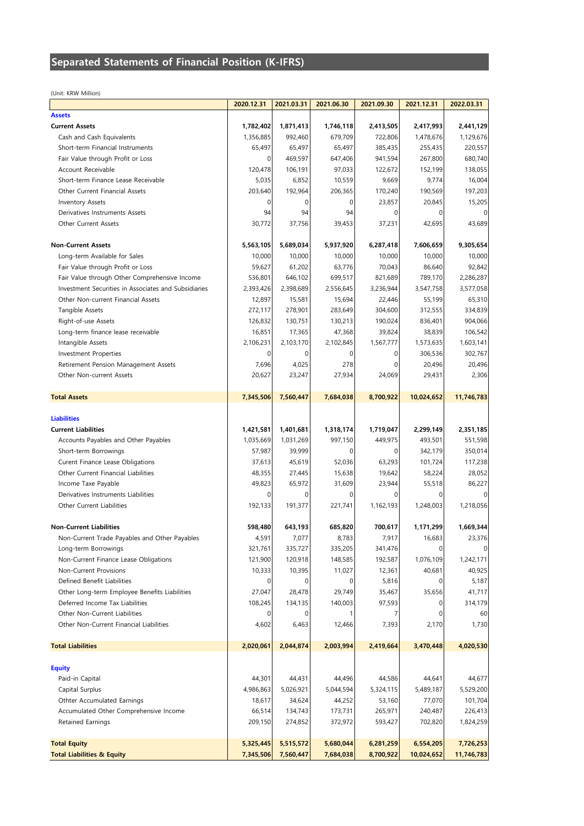### **Separated Statements of Financial Position (K-IFRS)**

(Unit: KRW Million)

|                                                              | 2020.12.31             | 2021.03.31             | 2021.06.30             | 2021.09.30             | 2021.12.31              | 2022.03.31              |
|--------------------------------------------------------------|------------------------|------------------------|------------------------|------------------------|-------------------------|-------------------------|
| <b>Assets</b>                                                |                        |                        |                        |                        |                         |                         |
| <b>Current Assets</b>                                        | 1,782,402              | 1,871,413              | 1,746,118              | 2,413,505              | 2,417,993               | 2,441,129               |
| Cash and Cash Equivalents                                    | 1,356,885              | 992,460                | 679,709                | 722,806                | 1,478,676               | 1,129,676               |
| Short-term Financial Instruments                             | 65,497                 | 65,497                 | 65,497                 | 385,435                | 255,435                 | 220,557                 |
| Fair Value through Profit or Loss                            | $\Omega$               | 469,597                | 647,406                | 941,594                | 267,800                 | 680,740                 |
| Account Receivable                                           | 120,478                | 106,191                | 97,033                 | 122,672                | 152,199                 | 138,055                 |
| Short-term Finance Lease Receivable                          | 5,035                  | 6,852                  | 10,559                 | 9,669                  | 9,774                   | 16,004                  |
| Other Current Financial Assets                               | 203,640                | 192,964                | 206,365                | 170,240                | 190,569                 | 197,203                 |
| Inventory Assets                                             |                        |                        | 0                      | 23,857                 | 20,845                  | 15,205                  |
| Derivatives Instruments Assets                               | 94                     | 94                     | 94                     | $\Omega$               |                         |                         |
| Other Current Assets                                         | 30,772                 | 37,756                 | 39,453                 | 37,231                 | 42,695                  | 43,689                  |
| <b>Non-Current Assets</b>                                    | 5,563,105              | 5,689,034              | 5,937,920              | 6,287,418              | 7,606,659               | 9,305,654               |
| Long-term Available for Sales                                | 10,000                 | 10,000                 | 10,000                 | 10,000                 | 10,000                  | 10,000                  |
| Fair Value through Profit or Loss                            | 59,627                 | 61,202                 | 63,776                 | 70,043                 | 86,640                  | 92,842                  |
| Fair Value through Other Comprehensive Income                | 536,801                | 646,102                | 699,517                | 821,689                | 789,170                 | 2,286,287               |
| Investment Securities in Associates and Subsidiaries         | 2,393,426              | 2,398,689              | 2,556,645              | 3,236,944              | 3,547,758               | 3,577,058               |
| Other Non-current Financial Assets                           | 12,897                 | 15,581                 | 15,694                 | 22,446                 | 55,199                  | 65,310                  |
| Tangible Assets                                              | 272,117                | 278,901                | 283,649                | 304,600                | 312,555                 | 334,839                 |
| Right-of-use Assets                                          | 126,832                | 130,751                | 130,213                | 190,024                | 836,401                 | 904,066                 |
| Long-term finance lease receivable                           | 16,851                 | 17,365                 | 47,368                 | 39,824                 | 38,839                  | 106,542                 |
| Intangible Assets                                            | 2,106,231              | 2,103,170              | 2,102,845              | 1,567,777              | 1,573,635               | 1,603,141               |
| Investment Properties                                        | $\Omega$               | 0                      | $\Omega$               | $\Omega$               | 306,536                 | 302,767                 |
| Retirement Pension Management Assets                         | 7,696                  | 4,025                  | 278                    | $\Omega$               | 20,496                  | 20,496                  |
| Other Non-current Assets                                     | 20,627                 | 23,247                 | 27,934                 | 24,069                 | 29,431                  | 2,306                   |
|                                                              |                        |                        |                        |                        |                         |                         |
| <b>Total Assets</b>                                          | 7,345,506              | 7,560,447              | 7,684,038              | 8,700,922              | 10,024,652              | 11,746,783              |
| <b>Liabilities</b>                                           |                        |                        |                        |                        |                         |                         |
| <b>Current Liabilities</b>                                   | 1,421,581              | 1,401,681              | 1,318,174              | 1,719,047              | 2,299,149               | 2,351,185               |
| Accounts Payables and Other Payables                         | 1,035,669              | 1,031,269              | 997,150                | 449,975                | 493,501                 | 551,598                 |
| Short-term Borrowings                                        | 57,987                 | 39,999                 | 0                      | $\Omega$               | 342,179                 | 350,014                 |
| Curent Finance Lease Obligations                             | 37,613                 | 45,619                 | 52,036                 | 63,293                 | 101,724                 | 117,238                 |
| Other Current Financial Liabilities                          | 48,355                 | 27,445                 | 15,638                 | 19,642                 | 58,224                  | 28,052                  |
| Income Taxe Payable                                          | 49,823                 | 65,972                 | 31,609                 | 23,944                 | 55,518                  | 86,227                  |
| Derivatives Instruments Liabilities                          | $\Omega$               | 0                      | 0                      | $\Omega$               |                         |                         |
| Other Current Liabilities                                    | 192,133                | 191,377                | 221,741                | 1,162,193              | 1,248,003               | 1,218,056               |
| <b>Non-Current Liabilities</b>                               | 598,480                | 643,193                | 685,820                | 700,617                | 1,171,299               | 1,669,344               |
| Non-Current Trade Payables and Other Payables                | 4,591                  | 7,077                  | 8,783                  | 7,917                  | 16,683                  | 23,376                  |
| Long-term Borrowings                                         | 321,761                | 335,727                | 335,205                | 341,476                |                         |                         |
| Non-Current Finance Lease Obligations                        | 121,900                | 120,918                | 148,585                | 192,587                | 1,076,109               | 1,242,171               |
| Non-Current Provisions                                       | 10,333                 | 10,395                 | 11,027                 | 12,361                 | 40,681                  | 40,925                  |
| Defined Benefit Liabilities                                  |                        |                        |                        |                        |                         |                         |
|                                                              |                        |                        | 0                      | 5,816                  |                         | 5,187                   |
| Other Long-term Employee Benefits Liabilities                | 27,047                 | 28,478                 | 29,749                 | 35,467                 | 35,656                  | 41,717                  |
| Deferred Income Tax Liabilities                              | 108,245                | 134,135                | 140,003                | 97,593                 |                         | 314,179                 |
| Other Non-Current Liabilities                                | $\theta$               | 0                      |                        |                        |                         | 60                      |
| Other Non-Current Financial Liabilities                      | 4,602                  | 6,463                  | 12,466                 | 7,393                  | 2,170                   | 1,730                   |
| <b>Total Liabilities</b>                                     | 2,020,061              | 2,044,874              | 2,003,994              | 2,419,664              | 3,470,448               | 4,020,530               |
| <b>Equity</b>                                                |                        |                        |                        |                        |                         |                         |
| Paid-in Capital                                              | 44,301                 | 44,431                 | 44,496                 | 44,586                 | 44,641                  | 44,677                  |
| Capital Surplus                                              | 4,986,863              | 5,026,921              | 5,044,594              | 5,324,115              | 5,489,187               | 5,529,200               |
|                                                              | 18,617                 |                        |                        |                        |                         |                         |
| Othter Accumulated Earnings                                  |                        | 34,624                 | 44,252                 | 53,160                 | 77,070                  | 101,704                 |
| Accumulated Other Comprehensive Income                       | 66,514                 | 134,743                | 173,731                | 265,971                | 240,487                 | 226,413                 |
| Retained Earnings                                            | 209,150                | 274,852                | 372,972                | 593,427                | 702,820                 | 1,824,259               |
|                                                              |                        |                        |                        |                        |                         |                         |
| <b>Total Equity</b><br><b>Total Liabilities &amp; Equity</b> | 5,325,445<br>7,345,506 | 5,515,572<br>7,560,447 | 5,680,044<br>7,684,038 | 6,281,259<br>8,700,922 | 6,554,205<br>10,024,652 | 7,726,253<br>11,746,783 |